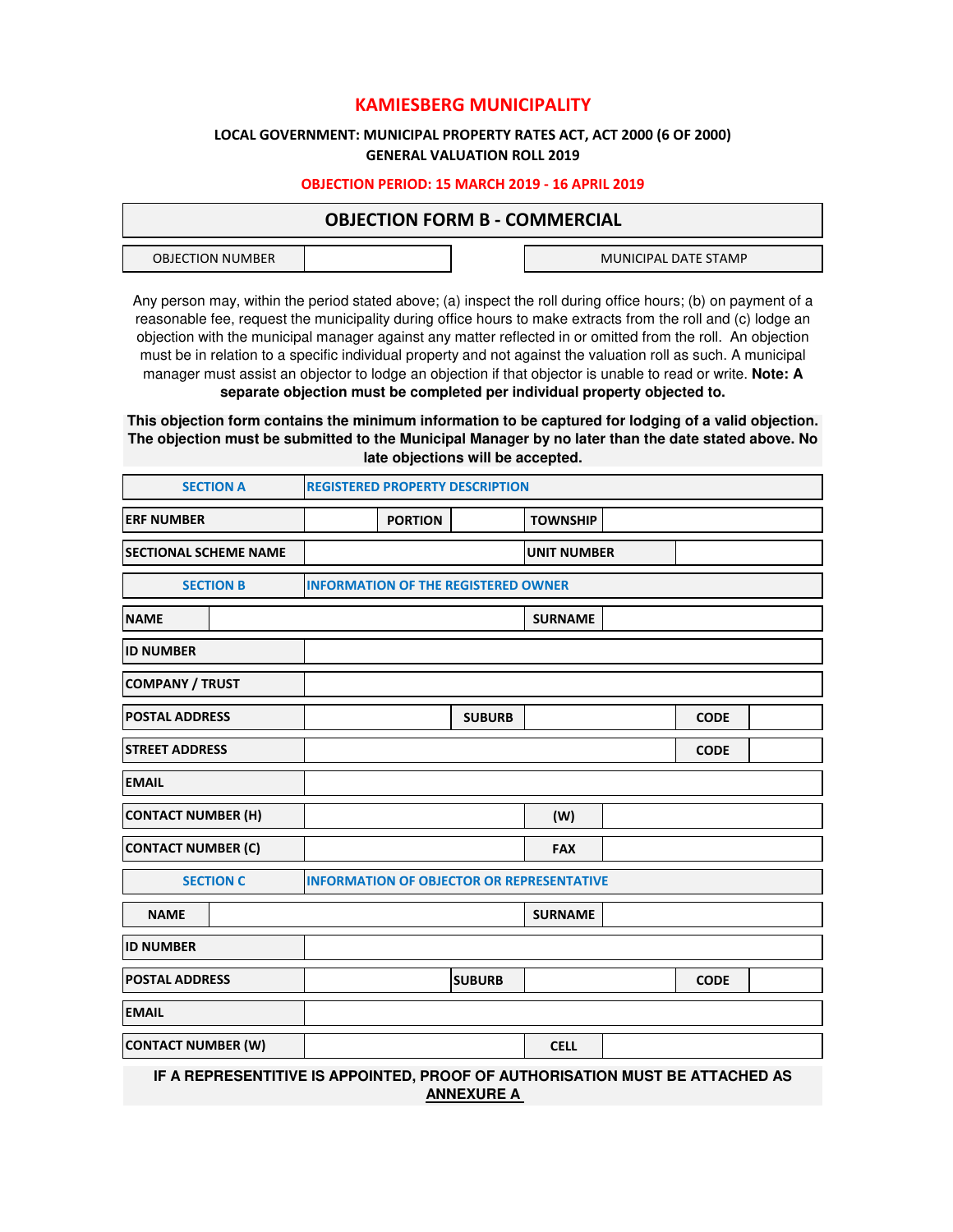# **KAMIESBERG MUNICIPALITY**

## **LOCAL GOVERNMENT: MUNICIPAL PROPERTY RATES ACT, ACT 2000 (6 OF 2000) GENERAL VALUATION ROLL 2019**

## **OBJECTION PERIOD: 15 MARCH 2019 - 16 APRIL 2019**

## **OBJECTION FORM B - COMMERCIAL**

| MUNICIPAL DATE STAMP<br>OBJECTION<br>NUMBER |  |  |
|---------------------------------------------|--|--|
|                                             |  |  |

Any person may, within the period stated above; (a) inspect the roll during office hours; (b) on payment of a reasonable fee, request the municipality during office hours to make extracts from the roll and (c) lodge an objection with the municipal manager against any matter reflected in or omitted from the roll. An objection must be in relation to a specific individual property and not against the valuation roll as such. A municipal manager must assist an objector to lodge an objection if that objector is unable to read or write. **Note: A separate objection must be completed per individual property objected to.**

**This objection form contains the minimum information to be captured for lodging of a valid objection. The objection must be submitted to the Municipal Manager by no later than the date stated above. No late objections will be accepted.**

|                              | <b>SECTION A</b>                                                                                  | <b>REGISTERED PROPERTY DESCRIPTION</b>           |                                            |                    |  |             |  |
|------------------------------|---------------------------------------------------------------------------------------------------|--------------------------------------------------|--------------------------------------------|--------------------|--|-------------|--|
| <b>ERF NUMBER</b>            |                                                                                                   | <b>PORTION</b>                                   |                                            | <b>TOWNSHIP</b>    |  |             |  |
| <b>SECTIONAL SCHEME NAME</b> |                                                                                                   |                                                  |                                            | <b>UNIT NUMBER</b> |  |             |  |
|                              | <b>SECTION B</b>                                                                                  |                                                  | <b>INFORMATION OF THE REGISTERED OWNER</b> |                    |  |             |  |
| <b>NAME</b>                  |                                                                                                   |                                                  |                                            | <b>SURNAME</b>     |  |             |  |
| <b>ID NUMBER</b>             |                                                                                                   |                                                  |                                            |                    |  |             |  |
| <b>COMPANY / TRUST</b>       |                                                                                                   |                                                  |                                            |                    |  |             |  |
| <b>POSTAL ADDRESS</b>        |                                                                                                   |                                                  | <b>SUBURB</b>                              |                    |  | <b>CODE</b> |  |
| <b>STREET ADDRESS</b>        |                                                                                                   |                                                  |                                            |                    |  | <b>CODE</b> |  |
| <b>EMAIL</b>                 |                                                                                                   |                                                  |                                            |                    |  |             |  |
| <b>CONTACT NUMBER (H)</b>    |                                                                                                   |                                                  |                                            | (W)                |  |             |  |
| <b>CONTACT NUMBER (C)</b>    |                                                                                                   |                                                  |                                            | <b>FAX</b>         |  |             |  |
|                              | <b>SECTION C</b>                                                                                  | <b>INFORMATION OF OBJECTOR OR REPRESENTATIVE</b> |                                            |                    |  |             |  |
| <b>NAME</b>                  |                                                                                                   |                                                  |                                            | <b>SURNAME</b>     |  |             |  |
| <b>ID NUMBER</b>             |                                                                                                   |                                                  |                                            |                    |  |             |  |
| <b>POSTAL ADDRESS</b>        |                                                                                                   |                                                  | <b>SUBURB</b>                              |                    |  | <b>CODE</b> |  |
| <b>EMAIL</b>                 |                                                                                                   |                                                  |                                            |                    |  |             |  |
| <b>CONTACT NUMBER (W)</b>    |                                                                                                   |                                                  |                                            | <b>CELL</b>        |  |             |  |
|                              | IF A REPRESENTITIVE IS APPOINTED, PROOF OF AUTHORISATION MUST BE ATTACHED AS<br><b>ANNEXURE A</b> |                                                  |                                            |                    |  |             |  |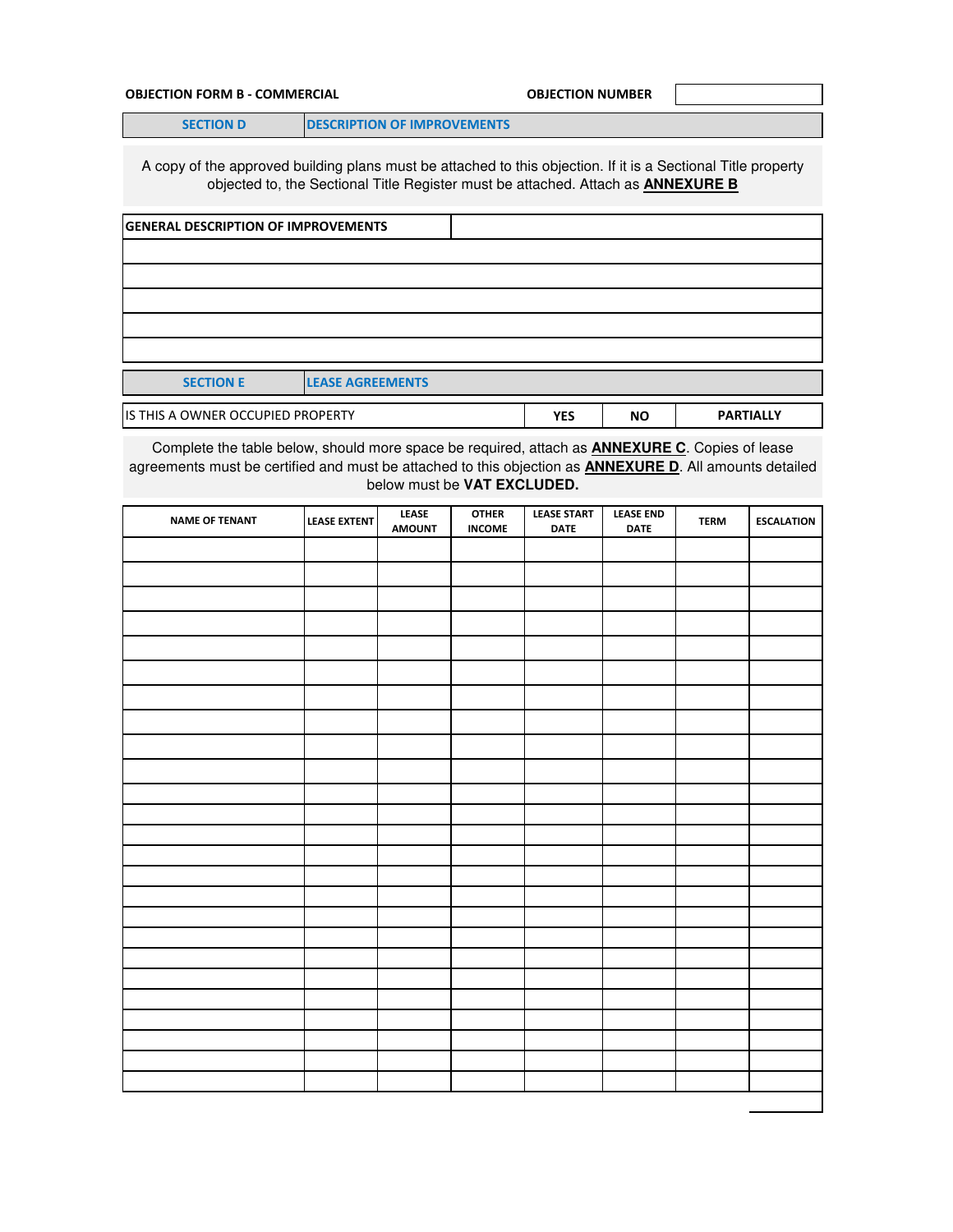### **OBJECTION FORM B - COMMERCIAL COMMERCIAL COMMERCIAL COMMERCIAL COMMERCIAL COMMERCIAL COMMERCIAL COMMERCIAL COMMERCIAL COMMERCIAL COMMERCIAL COMMERCIAL COMMERCIAL COMMERCIAL COMMERCIAL COMMERCIAL COMMERCIAL COMMERCIAL COMM**

**SECTION D DESCRIPTION OF IMPROVEMENTS** 

A copy of the approved building plans must be attached to this objection. If it is a Sectional Title property objected to, the Sectional Title Register must be attached. Attach as **ANNEXURE B**

| <b>GENERAL DESCRIPTION OF IMPROVEMENTS</b> |                         |            |           |                  |  |  |
|--------------------------------------------|-------------------------|------------|-----------|------------------|--|--|
|                                            |                         |            |           |                  |  |  |
|                                            |                         |            |           |                  |  |  |
|                                            |                         |            |           |                  |  |  |
|                                            |                         |            |           |                  |  |  |
|                                            |                         |            |           |                  |  |  |
| <b>SECTION E</b>                           | <b>LEASE AGREEMENTS</b> |            |           |                  |  |  |
| IS THIS A OWNER OCCUPIED PROPERTY          |                         | <b>YES</b> | <b>NO</b> | <b>PARTIALLY</b> |  |  |

Complete the table below, should more space be required, attach as **ANNEXURE C**. Copies of lease agreements must be certified and must be attached to this objection as **ANNEXURE D**. All amounts detailed below must be **VAT EXCLUDED.**

| <b>NAME OF TENANT</b> | <b>LEASE EXTENT</b> | LEASE<br><b>AMOUNT</b> | <b>OTHER</b><br><b>INCOME</b> | <b>LEASE START</b><br><b>DATE</b> | <b>LEASE END</b><br><b>DATE</b> | <b>TERM</b> | <b>ESCALATION</b> |
|-----------------------|---------------------|------------------------|-------------------------------|-----------------------------------|---------------------------------|-------------|-------------------|
|                       |                     |                        |                               |                                   |                                 |             |                   |
|                       |                     |                        |                               |                                   |                                 |             |                   |
|                       |                     |                        |                               |                                   |                                 |             |                   |
|                       |                     |                        |                               |                                   |                                 |             |                   |
|                       |                     |                        |                               |                                   |                                 |             |                   |
|                       |                     |                        |                               |                                   |                                 |             |                   |
|                       |                     |                        |                               |                                   |                                 |             |                   |
|                       |                     |                        |                               |                                   |                                 |             |                   |
|                       |                     |                        |                               |                                   |                                 |             |                   |
|                       |                     |                        |                               |                                   |                                 |             |                   |
|                       |                     |                        |                               |                                   |                                 |             |                   |
|                       |                     |                        |                               |                                   |                                 |             |                   |
|                       |                     |                        |                               |                                   |                                 |             |                   |
|                       |                     |                        |                               |                                   |                                 |             |                   |
|                       |                     |                        |                               |                                   |                                 |             |                   |
|                       |                     |                        |                               |                                   |                                 |             |                   |
|                       |                     |                        |                               |                                   |                                 |             |                   |
|                       |                     |                        |                               |                                   |                                 |             |                   |
|                       |                     |                        |                               |                                   |                                 |             |                   |
|                       |                     |                        |                               |                                   |                                 |             |                   |
|                       |                     |                        |                               |                                   |                                 |             |                   |
|                       |                     |                        |                               |                                   |                                 |             |                   |
|                       |                     |                        |                               |                                   |                                 |             |                   |
|                       |                     |                        |                               |                                   |                                 |             |                   |
|                       |                     |                        |                               |                                   |                                 |             |                   |
|                       |                     |                        |                               |                                   |                                 |             |                   |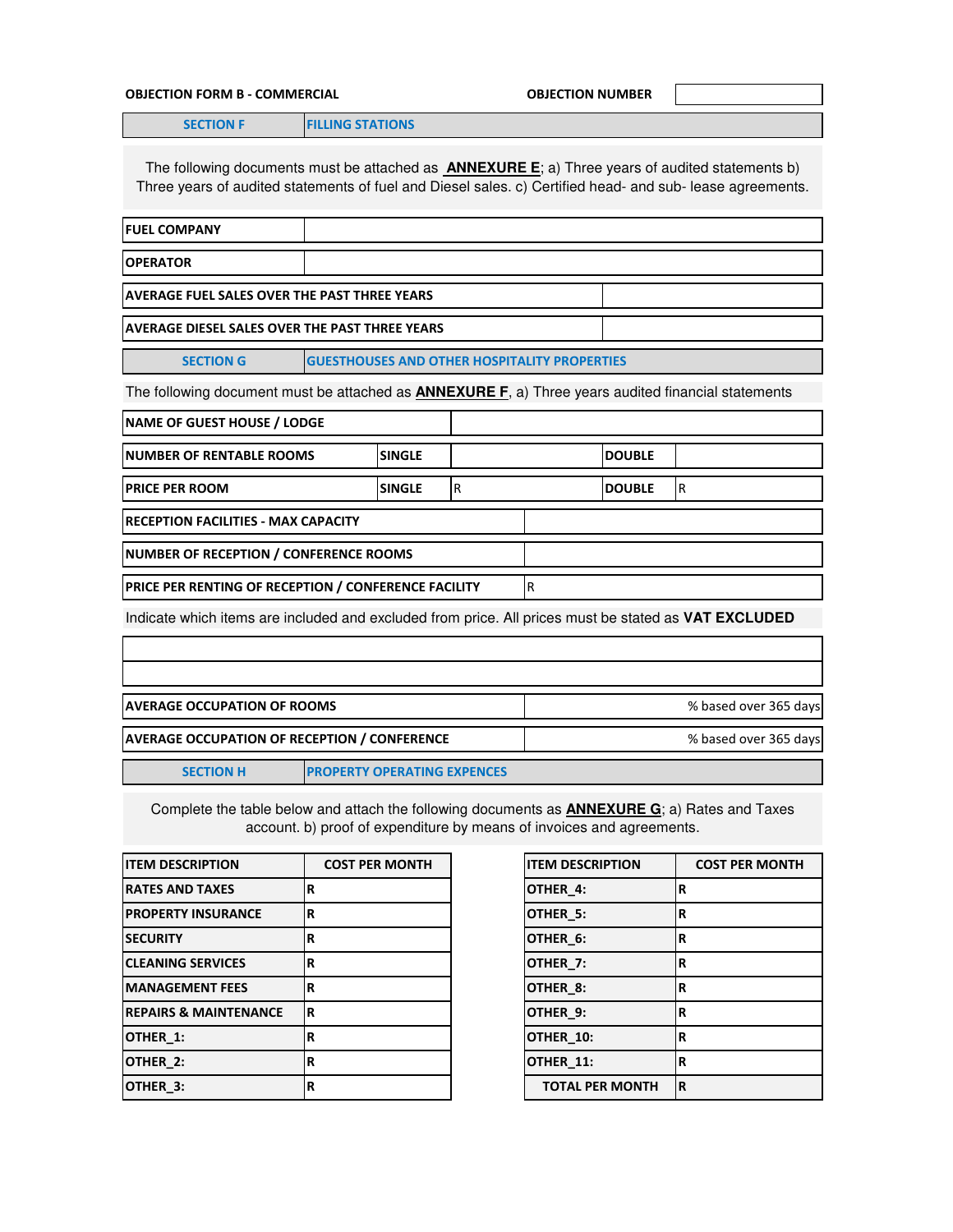### **OBJECTION FORM B - COMMERCIAL COMMETER COMMERCIAL COMMETER**

**SECTION F FILLING STATIONS** 

The following documents must be attached as **ANNEXURE E**; a) Three years of audited statements b) Three years of audited statements of fuel and Diesel sales. c) Certified head- and sub- lease agreements.

| <b>IFUEL COMPANY</b>                                                    |  |  |  |  |
|-------------------------------------------------------------------------|--|--|--|--|
| <b>OPERATOR</b>                                                         |  |  |  |  |
| <b>LAVERAGE FUEL SALES OVER THE PAST THREE YEARS</b>                    |  |  |  |  |
| <b>LAVERAGE DIESEL SALES OVER THE PAST THREE YEARS</b>                  |  |  |  |  |
| <b>GUESTHOUSES AND OTHER HOSPITALITY PROPERTIES</b><br><b>SECTION G</b> |  |  |  |  |

The following document must be attached as **ANNEXURE F**, a) Three years audited financial statements

| <b>NAME OF GUEST HOUSE / LODGE</b>                          |                |     |               |    |
|-------------------------------------------------------------|----------------|-----|---------------|----|
| <b>INUMBER OF RENTABLE ROOMS</b>                            | <b>SINGLE</b>  |     | <b>DOUBLE</b> |    |
| <b>PRICE PER ROOM</b>                                       | <b>ISINGLE</b> | l R | <b>DOUBLE</b> | ΙR |
| <b>IRECEPTION FACILITIES - MAX CAPACITY</b>                 |                |     |               |    |
| NUMBER OF RECEPTION / CONFERENCE ROOMS                      |                |     |               |    |
| <b>PRICE PER RENTING OF RECEPTION / CONFERENCE FACILITY</b> |                |     |               |    |
|                                                             |                |     |               |    |

Indicate which items are included and excluded from price. All prices must be stated as **VAT EXCLUDED**

| <b>IAVERAGE OCCUPATION OF ROOMS</b> |                                                     | % based over 365 days |
|-------------------------------------|-----------------------------------------------------|-----------------------|
|                                     | <b>AVERAGE OCCUPATION OF RECEPTION / CONFERENCE</b> | % based over 365 days |
| <b>SECTION H</b>                    | <b>PROPERTY OPERATING EXPENCES</b>                  |                       |

Complete the table below and attach the following documents as **ANNEXURE G**; a) Rates and Taxes account. b) proof of expenditure by means of invoices and agreements.

| <b>ITEM DESCRIPTION</b>          | <b>COST PER MONTH</b> |
|----------------------------------|-----------------------|
| <b>RATES AND TAXES</b>           | R                     |
| <b>PROPERTY INSURANCE</b>        | R                     |
| <b>SECURITY</b>                  | R                     |
| <b>CLEANING SERVICES</b>         | R                     |
| <b>MANAGEMENT FEES</b>           | R                     |
| <b>REPAIRS &amp; MAINTENANCE</b> | R                     |
| OTHER_1:                         | R                     |
| OTHER 2:                         | R                     |
| OTHER 3:                         | R                     |

| <b>COST PER MONTH</b> | <b>ITEM DESCRIPTION</b> | <b>COST PER MONTH</b> |
|-----------------------|-------------------------|-----------------------|
| R                     | OTHER_4:                | R                     |
| R                     | OTHER_5:                | ΙR                    |
| R                     | OTHER_6:                | R                     |
| R                     | OTHER_7:                | R                     |
| R                     | OTHER_8:                | ΙR                    |
| R                     | OTHER_9:                | ΙR                    |
| R                     | OTHER_10:               | ΙR                    |
| R                     | OTHER_11:               | R                     |
| R                     | <b>TOTAL PER MONTH</b>  | ΙR                    |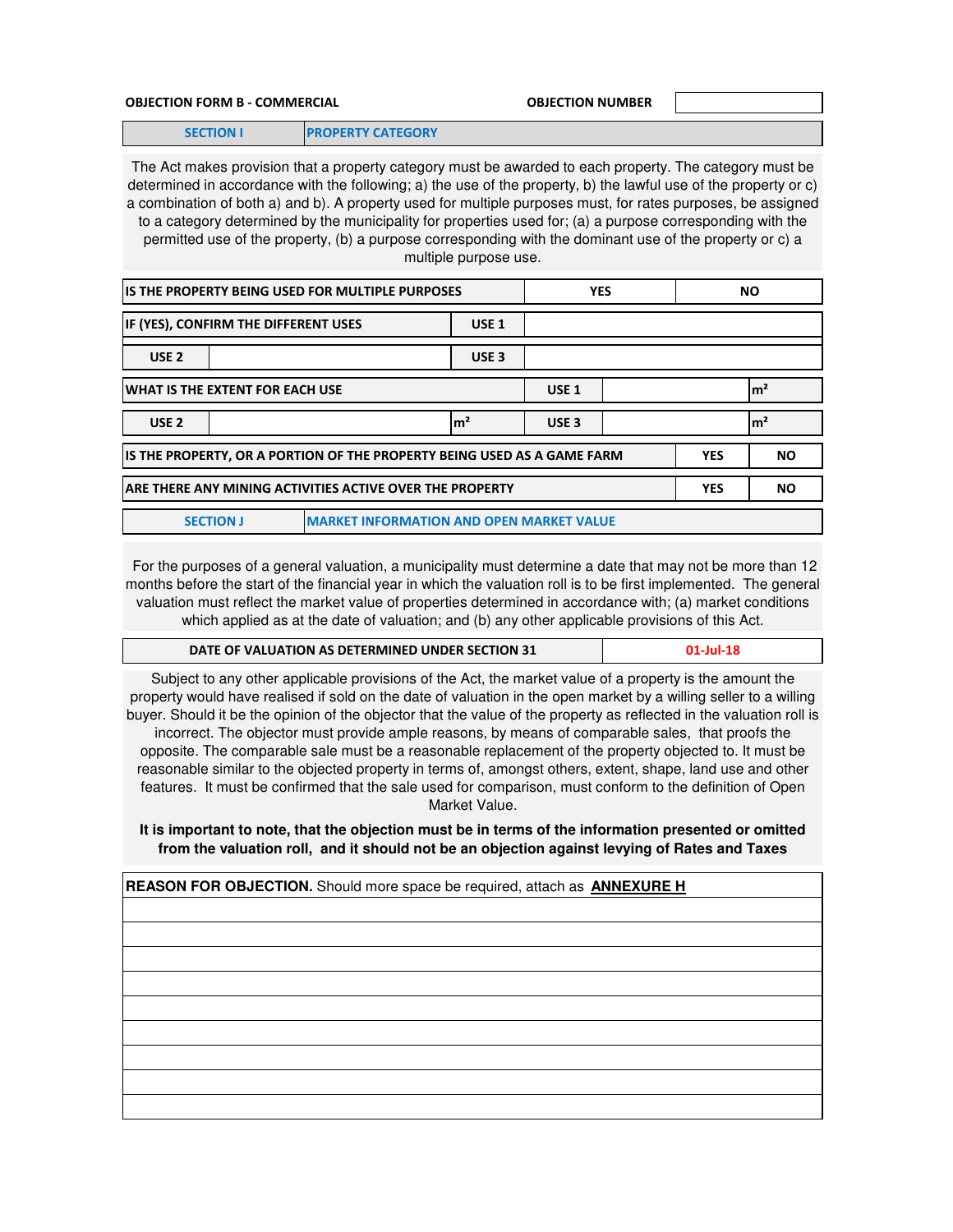#### **OBJECTION FORM B - COMMERCIAL OBJECTION NUMBER**

**SECTION I PROPERTY CATEGORY**

The Act makes provision that a property category must be awarded to each property. The category must be determined in accordance with the following; a) the use of the property, b) the lawful use of the property or c) a combination of both a) and b). A property used for multiple purposes must, for rates purposes, be assigned to a category determined by the municipality for properties used for; (a) a purpose corresponding with the permitted use of the property, (b) a purpose corresponding with the dominant use of the property or c) a multiple purpose use.

| IS THE PROPERTY BEING USED FOR MULTIPLE PURPOSES                                                   |  |  |                | <b>YES</b>       |           | <b>NO</b> |                 |
|----------------------------------------------------------------------------------------------------|--|--|----------------|------------------|-----------|-----------|-----------------|
| IF (YES), CONFIRM THE DIFFERENT USES<br>USE <sub>1</sub>                                           |  |  |                |                  |           |           |                 |
| USE <sub>2</sub><br>USE <sub>3</sub>                                                               |  |  |                |                  |           |           |                 |
| WHAT IS THE EXTENT FOR EACH USE<br>USE <sub>1</sub>                                                |  |  |                |                  |           |           | $\mathsf{Im}^2$ |
| USE <sub>2</sub>                                                                                   |  |  | m <sup>2</sup> | USE <sub>3</sub> |           |           | m <sup>2</sup>  |
| IS THE PROPERTY, OR A PORTION OF THE PROPERTY BEING USED AS A GAME FARM<br><b>YES</b><br><b>NO</b> |  |  |                |                  |           |           |                 |
| ARE THERE ANY MINING ACTIVITIES ACTIVE OVER THE PROPERTY<br><b>YES</b>                             |  |  |                |                  | <b>NO</b> |           |                 |
| <b>MARKET INFORMATION AND OPEN MARKET VALUE</b><br><b>SECTION J</b>                                |  |  |                |                  |           |           |                 |

 For the purposes of a general valuation, a municipality must determine a date that may not be more than 12 months before the start of the financial year in which the valuation roll is to be first implemented. The general valuation must reflect the market value of properties determined in accordance with; (a) market conditions which applied as at the date of valuation; and (b) any other applicable provisions of this Act.

| DATE OF VALUATION AS DETERMINED UNDER SECTION 31 | $01$ -Jul-18 |
|--------------------------------------------------|--------------|
|                                                  |              |

Subject to any other applicable provisions of the Act, the market value of a property is the amount the property would have realised if sold on the date of valuation in the open market by a willing seller to a willing buyer. Should it be the opinion of the objector that the value of the property as reflected in the valuation roll is incorrect. The objector must provide ample reasons, by means of comparable sales, that proofs the opposite. The comparable sale must be a reasonable replacement of the property objected to. It must be reasonable similar to the objected property in terms of, amongst others, extent, shape, land use and other features. It must be confirmed that the sale used for comparison, must conform to the definition of Open Market Value.

**It is important to note, that the objection must be in terms of the information presented or omitted from the valuation roll, and it should not be an objection against levying of Rates and Taxes** 

**REASON FOR OBJECTION.** Should more space be required, attach as **ANNEXURE H**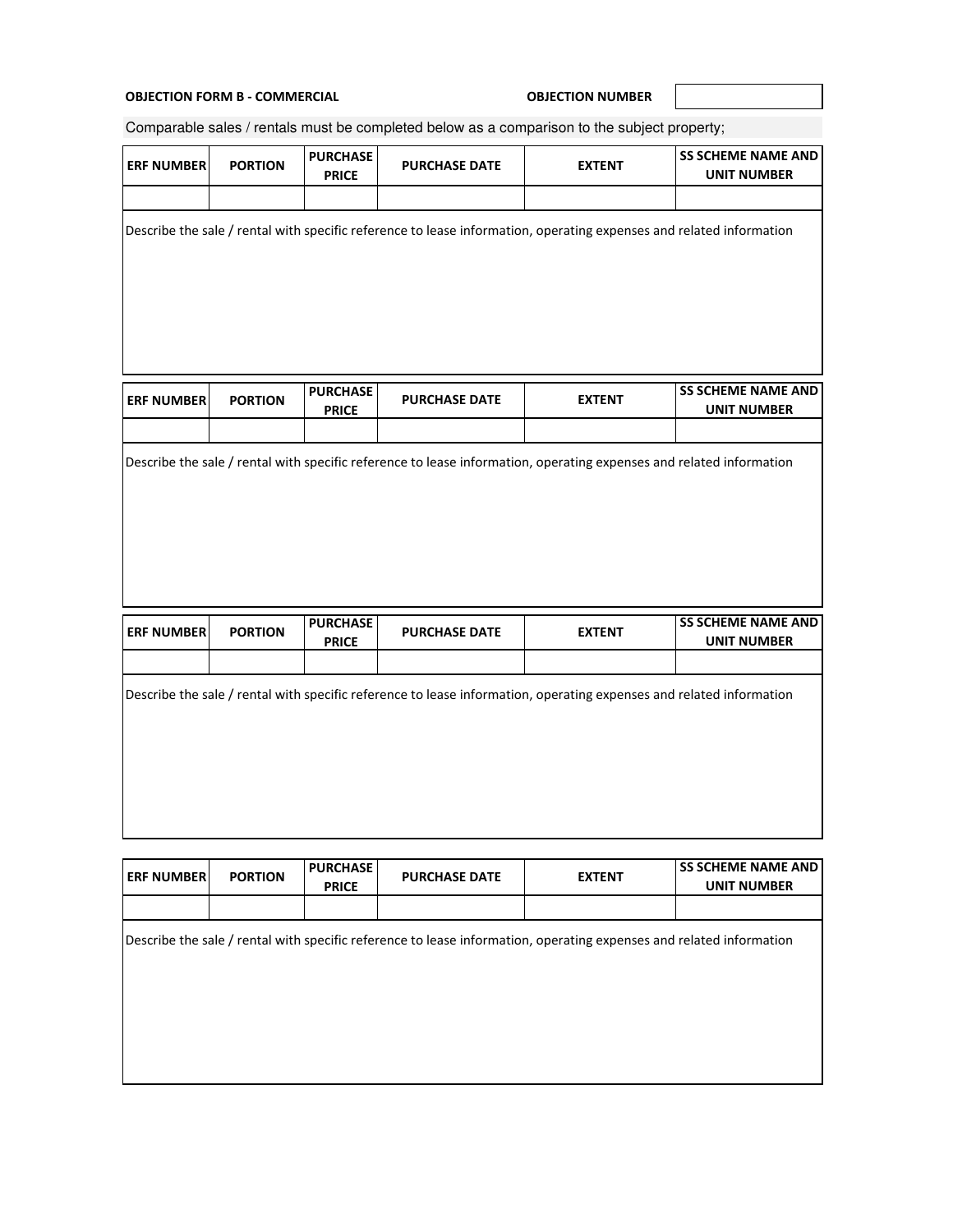## **OBJECTION FORM B - COMMERCIAL COMMERCIAL COMMER OBJECTION NUMBER**

ı

Comparable sales / rentals must be completed below as a comparison to the subject property;

| <b>ERF NUMBER</b> | <b>PORTION</b> | <b>PURCHASE</b><br><b>PRICE</b> | <b>PURCHASE DATE</b> | <b>EXTENT</b>                                                                                                       | <b>SS SCHEME NAME AND</b><br><b>UNIT NUMBER</b> |  |
|-------------------|----------------|---------------------------------|----------------------|---------------------------------------------------------------------------------------------------------------------|-------------------------------------------------|--|
|                   |                |                                 |                      | Describe the sale / rental with specific reference to lease information, operating expenses and related information |                                                 |  |
| <b>ERF NUMBER</b> | <b>PORTION</b> | <b>PURCHASE</b><br><b>PRICE</b> | <b>PURCHASE DATE</b> | <b>EXTENT</b>                                                                                                       | <b>SS SCHEME NAME AND</b><br><b>UNIT NUMBER</b> |  |
|                   |                |                                 |                      | Describe the sale / rental with specific reference to lease information, operating expenses and related information |                                                 |  |
|                   |                |                                 |                      |                                                                                                                     |                                                 |  |
| <b>ERF NUMBER</b> | <b>PORTION</b> | <b>PURCHASE</b><br><b>PRICE</b> | <b>PURCHASE DATE</b> | <b>EXTENT</b>                                                                                                       | <b>SS SCHEME NAME AND</b><br><b>UNIT NUMBER</b> |  |
|                   |                |                                 |                      |                                                                                                                     |                                                 |  |
|                   |                |                                 |                      | Describe the sale / rental with specific reference to lease information, operating expenses and related information |                                                 |  |

| <b>ERF NUMBER</b> | <b>PORTION</b> | <b>PURCHASE</b><br><b>PRICE</b> | <b>PURCHASE DATE</b> | <b>EXTENT</b>                                                                                                       | <b>SS SCHEME NAME AND</b><br><b>UNIT NUMBER</b> |
|-------------------|----------------|---------------------------------|----------------------|---------------------------------------------------------------------------------------------------------------------|-------------------------------------------------|
|                   |                |                                 |                      |                                                                                                                     |                                                 |
|                   |                |                                 |                      | Describe the sale / rental with specific reference to lease information, operating expenses and related information |                                                 |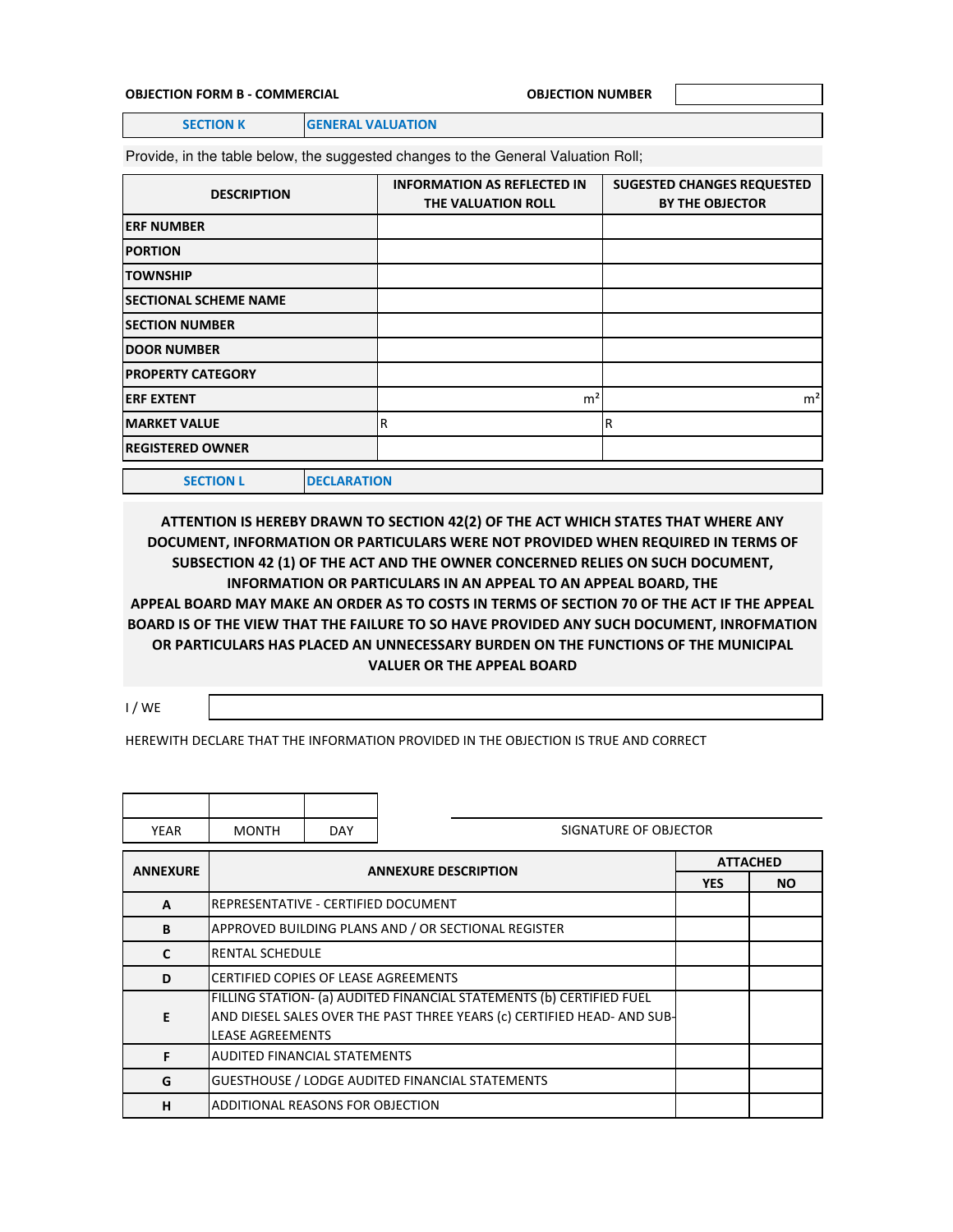#### **OBJECTION FORM B - COMMERCIAL OBJECTION NUMBER**

**SECTION K GENERAL VALUATION** 

Provide, in the table below, the suggested changes to the General Valuation Roll;

| <b>DESCRIPTION</b>           |                    | <b>INFORMATION AS REFLECTED IN</b> |                        | <b>SUGESTED CHANGES REQUESTED</b> |
|------------------------------|--------------------|------------------------------------|------------------------|-----------------------------------|
|                              | THE VALUATION ROLL |                                    | <b>BY THE OBJECTOR</b> |                                   |
| <b>ERF NUMBER</b>            |                    |                                    |                        |                                   |
| <b>PORTION</b>               |                    |                                    |                        |                                   |
| <b>TOWNSHIP</b>              |                    |                                    |                        |                                   |
| <b>SECTIONAL SCHEME NAME</b> |                    |                                    |                        |                                   |
| <b>SECTION NUMBER</b>        |                    |                                    |                        |                                   |
| <b>DOOR NUMBER</b>           |                    |                                    |                        |                                   |
| <b>PROPERTY CATEGORY</b>     |                    |                                    |                        |                                   |
| <b>ERF EXTENT</b>            |                    |                                    | m <sup>2</sup>         | m <sup>2</sup>                    |
| <b>MARKET VALUE</b>          | R                  |                                    | R                      |                                   |
| <b>REGISTERED OWNER</b>      |                    |                                    |                        |                                   |
| <b>SECTION L</b>             | <b>DECLARATION</b> |                                    |                        |                                   |

**ATTENTION IS HEREBY DRAWN TO SECTION 42(2) OF THE ACT WHICH STATES THAT WHERE ANY DOCUMENT, INFORMATION OR PARTICULARS WERE NOT PROVIDED WHEN REQUIRED IN TERMS OF SUBSECTION 42 (1) OF THE ACT AND THE OWNER CONCERNED RELIES ON SUCH DOCUMENT, INFORMATION OR PARTICULARS IN AN APPEAL TO AN APPEAL BOARD, THE APPEAL BOARD MAY MAKE AN ORDER AS TO COSTS IN TERMS OF SECTION 70 OF THE ACT IF THE APPEAL BOARD IS OF THE VIEW THAT THE FAILURE TO SO HAVE PROVIDED ANY SUCH DOCUMENT, INROFMATION OR PARTICULARS HAS PLACED AN UNNECESSARY BURDEN ON THE FUNCTIONS OF THE MUNICIPAL VALUER OR THE APPEAL BOARD** 

I / WE

HEREWITH DECLARE THAT THE INFORMATION PROVIDED IN THE OBJECTION IS TRUE AND CORRECT

| <b>YEAR</b>     | <b>MONTH</b>                                                                                                                                                               | <b>DAY</b> | SIGNATURE OF OBJECTOR       |                 |           |  |
|-----------------|----------------------------------------------------------------------------------------------------------------------------------------------------------------------------|------------|-----------------------------|-----------------|-----------|--|
| <b>ANNEXURE</b> |                                                                                                                                                                            |            | <b>ANNEXURE DESCRIPTION</b> | <b>ATTACHED</b> |           |  |
|                 |                                                                                                                                                                            |            |                             | <b>YES</b>      | <b>NO</b> |  |
| $\mathbf{A}$    | IREPRESENTATIVE - CERTIFIED DOCUMENT                                                                                                                                       |            |                             |                 |           |  |
| B               | APPROVED BUILDING PLANS AND / OR SECTIONAL REGISTER                                                                                                                        |            |                             |                 |           |  |
| C               | <b>RENTAL SCHEDULE</b>                                                                                                                                                     |            |                             |                 |           |  |
| D               | <b>CERTIFIED COPIES OF LEASE AGREEMENTS</b>                                                                                                                                |            |                             |                 |           |  |
| E               | FILLING STATION- (a) AUDITED FINANCIAL STATEMENTS (b) CERTIFIED FUEL<br>AND DIESEL SALES OVER THE PAST THREE YEARS (c) CERTIFIED HEAD- AND SUB-<br><b>LEASE AGREEMENTS</b> |            |                             |                 |           |  |
| F               | <b>AUDITED FINANCIAL STATEMENTS</b>                                                                                                                                        |            |                             |                 |           |  |
| G               | <b>GUESTHOUSE / LODGE AUDITED FINANCIAL STATEMENTS</b>                                                                                                                     |            |                             |                 |           |  |
| н               | ADDITIONAL REASONS FOR OBJECTION                                                                                                                                           |            |                             |                 |           |  |